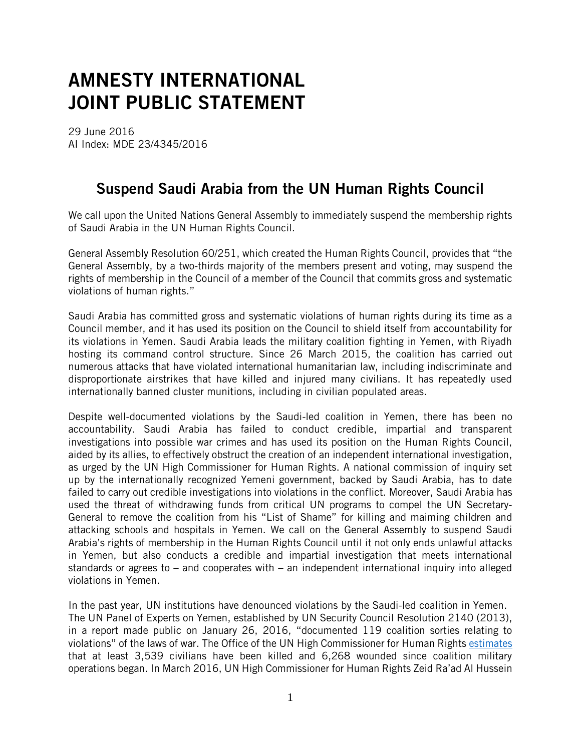## **AMNESTY INTERNATIONAL JOINT PUBLIC STATEMENT**

29 June 2016 AI Index: MDE 23/4345/2016

## **Suspend Saudi Arabia from the UN Human Rights Council**

We call upon the United Nations General Assembly to immediately suspend the membership rights of Saudi Arabia in the UN Human Rights Council.

General Assembly Resolution 60/251, which created the Human Rights Council, provides that "the General Assembly, by a two-thirds majority of the members present and voting, may suspend the rights of membership in the Council of a member of the Council that commits gross and systematic violations of human rights."

Saudi Arabia has committed gross and systematic violations of human rights during its time as a Council member, and it has used its position on the Council to shield itself from accountability for its violations in Yemen. Saudi Arabia leads the military coalition fighting in Yemen, with Riyadh hosting its command control structure. Since 26 March 2015, the coalition has carried out numerous attacks that have violated international humanitarian law, including indiscriminate and disproportionate airstrikes that have killed and injured many civilians. It has repeatedly used internationally banned cluster munitions, including in civilian populated areas.

Despite well-documented violations by the Saudi-led coalition in Yemen, there has been no accountability. Saudi Arabia has failed to conduct credible, impartial and transparent investigations into possible war crimes and has used its position on the Human Rights Council, aided by its allies, to effectively obstruct the creation of an independent international investigation, as urged by the UN High Commissioner for Human Rights. A national commission of inquiry set up by the internationally recognized Yemeni government, backed by Saudi Arabia, has to date failed to carry out credible investigations into violations in the conflict. Moreover, Saudi Arabia has used the threat of withdrawing funds from critical UN programs to compel the UN Secretary-General to remove the coalition from his "List of Shame" for killing and maiming children and attacking schools and hospitals in Yemen. We call on the General Assembly to suspend Saudi Arabia's rights of membership in the Human Rights Council until it not only ends unlawful attacks in Yemen, but also conducts a credible and impartial investigation that meets international standards or agrees to – and cooperates with – an independent international inquiry into alleged violations in Yemen.

In the past year, UN institutions have denounced violations by the Saudi-led coalition in Yemen. The UN Panel of Experts on Yemen, established by UN Security Council Resolution 2140 (2013), in a report made public on January 26, 2016, "documented 119 coalition sorties relating to violations" of the laws of war. The Office of the UN High Commissioner for Human Rights [estimates](mailto:http://www.ohchr.org/en/NewsEvents/Pages/DisplayNews.aspx%3FNewsID=20082%26LangID=E) that at least 3,539 civilians have been killed and 6,268 wounded since coalition military operations began. In March 2016, UN High Commissioner for Human Rights Zeid Ra'ad Al Hussein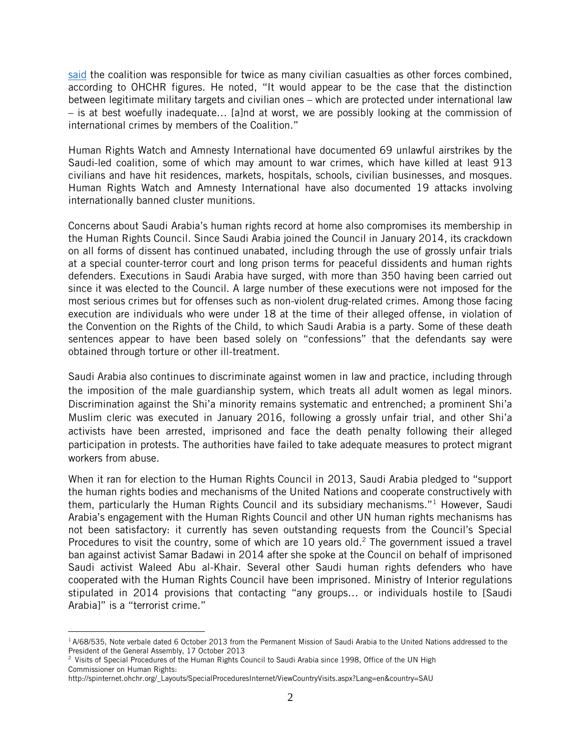[said](mailto:http://www.ohchr.org/en/NewsEvents/Pages/DisplayNews.aspx%3FNewsID=17251%26LangID=E) the coalition was responsible for twice as many civilian casualties as other forces combined, according to OHCHR figures. He noted, "It would appear to be the case that the distinction between legitimate military targets and civilian ones – which are protected under international law – is at best woefully inadequate… [a]nd at worst, we are possibly looking at the commission of international crimes by members of the Coalition."

Human Rights Watch and Amnesty International have documented 69 unlawful airstrikes by the Saudi-led coalition, some of which may amount to war crimes, which have killed at least 913 civilians and have hit residences, markets, hospitals, schools, civilian businesses, and mosques. Human Rights Watch and Amnesty International have also documented 19 attacks involving internationally banned cluster munitions.

Concerns about Saudi Arabia's human rights record at home also compromises its membership in the Human Rights Council. Since Saudi Arabia joined the Council in January 2014, its crackdown on all forms of dissent has continued unabated, including through the use of grossly unfair trials at a special counter-terror court and long prison terms for peaceful dissidents and human rights defenders. Executions in Saudi Arabia have surged, with more than 350 having been carried out since it was elected to the Council. A large number of these executions were not imposed for the most serious crimes but for offenses such as non-violent drug-related crimes. Among those facing execution are individuals who were under 18 at the time of their alleged offense, in violation of the Convention on the Rights of the Child, to which Saudi Arabia is a party. Some of these death sentences appear to have been based solely on "confessions" that the defendants say were obtained through torture or other ill-treatment.

Saudi Arabia also continues to discriminate against women in law and practice, including through the imposition of the male guardianship system, which treats all adult women as legal minors. Discrimination against the Shi'a minority remains systematic and entrenched; a prominent Shi'a Muslim cleric was executed in January 2016, following a grossly unfair trial, and other Shi'a activists have been arrested, imprisoned and face the death penalty following their alleged participation in protests. The authorities have failed to take adequate measures to protect migrant workers from abuse.

When it ran for election to the Human Rights Council in 2013, Saudi Arabia pledged to "support the human rights bodies and mechanisms of the United Nations and cooperate constructively with them, particularly the Human Rights Council and its subsidiary mechanisms."<sup>1</sup> However, Saudi Arabia's engagement with the Human Rights Council and other UN human rights mechanisms has not been satisfactory: it currently has seven outstanding requests from the Council's Special Procedures to visit the country, some of which are 10 years old.<sup>2</sup> The government issued a travel ban against activist Samar Badawi in 2014 after she spoke at the Council on behalf of imprisoned Saudi activist Waleed Abu al-Khair. Several other Saudi human rights defenders who have cooperated with the Human Rights Council have been imprisoned. Ministry of Interior regulations stipulated in 2014 provisions that contacting "any groups… or individuals hostile to [Saudi Arabia]" is a "terrorist crime."

 $\overline{a}$ 

 $1$  A/68/535, Note verbale dated 6 October 2013 from the Permanent Mission of Saudi Arabia to the United Nations addressed to the President of the General Assembly, 17 October 2013

<sup>&</sup>lt;sup>2</sup> Visits of Special Procedures of the Human Rights Council to Saudi Arabia since 1998, Office of the UN High Commissioner on Human Rights:

http://spinternet.ohchr.org/\_Layouts/SpecialProceduresInternet/ViewCountryVisits.aspx?Lang=en&country=SAU